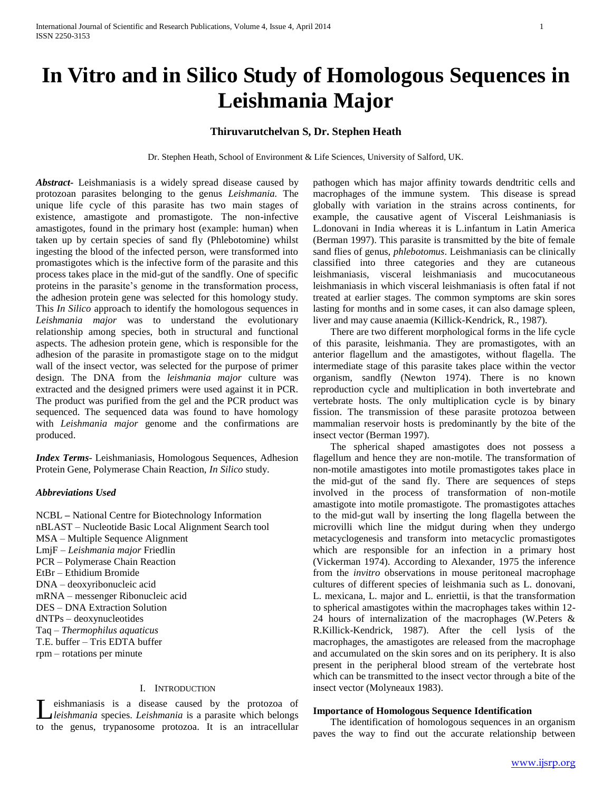# **In Vitro and in Silico Study of Homologous Sequences in Leishmania Major**

# **Thiruvarutchelvan S, Dr. Stephen Heath**

Dr. Stephen Heath, School of Environment & Life Sciences, University of Salford, UK.

*Abstract***-** Leishmaniasis is a widely spread disease caused by protozoan parasites belonging to the genus *Leishmania.* The unique life cycle of this parasite has two main stages of existence, amastigote and promastigote. The non-infective amastigotes, found in the primary host (example: human) when taken up by certain species of sand fly (Phlebotomine) whilst ingesting the blood of the infected person, were transformed into promastigotes which is the infective form of the parasite and this process takes place in the mid-gut of the sandfly. One of specific proteins in the parasite's genome in the transformation process, the adhesion protein gene was selected for this homology study. This *In Silico* approach to identify the homologous sequences in *Leishmania major* was to understand the evolutionary relationship among species, both in structural and functional aspects. The adhesion protein gene, which is responsible for the adhesion of the parasite in promastigote stage on to the midgut wall of the insect vector, was selected for the purpose of primer design. The DNA from the *leishmania major* culture was extracted and the designed primers were used against it in PCR. The product was purified from the gel and the PCR product was sequenced. The sequenced data was found to have homology with *Leishmania major* genome and the confirmations are produced.

*Index Terms*- Leishmaniasis*,* Homologous Sequences, Adhesion Protein Gene, Polymerase Chain Reaction, *In Silico* study.

## *Abbreviations Used*

NCBL **–** National Centre for Biotechnology Information nBLAST – Nucleotide Basic Local Alignment Search tool MSA – Multiple Sequence Alignment LmjF – *Leishmania major* Friedlin PCR – Polymerase Chain Reaction EtBr – Ethidium Bromide DNA – deoxyribonucleic acid mRNA – messenger Ribonucleic acid DES – DNA Extraction Solution dNTPs – deoxynucleotides Taq – *Thermophilus aquaticus* T.E. buffer – Tris EDTA buffer rpm – rotations per minute

## I. INTRODUCTION

eishmaniasis is a disease caused by the protozoa of *leishmania* species. *Leishmania* is a parasite which belongs Leishmaniasis is a disease caused by the protozoa of *Ileishmania* species. *Leishmania* is a parasite which belongs to the genus, trypanosome protozoa. It is an intracellular pathogen which has major affinity towards dendtritic cells and macrophages of the immune system. This disease is spread globally with variation in the strains across continents, for example, the causative agent of Visceral Leishmaniasis is L.donovani in India whereas it is L.infantum in Latin America (Berman 1997). This parasite is transmitted by the bite of female sand flies of genus, *phlebotomus*. Leishmaniasis can be clinically classified into three categories and they are cutaneous leishmaniasis, visceral leishmaniasis and mucocutaneous leishmaniasis in which visceral leishmaniasis is often fatal if not treated at earlier stages. The common symptoms are skin sores lasting for months and in some cases, it can also damage spleen, liver and may cause anaemia (Killick-Kendrick, R., 1987).

 There are two different morphological forms in the life cycle of this parasite, leishmania. They are promastigotes, with an anterior flagellum and the amastigotes, without flagella. The intermediate stage of this parasite takes place within the vector organism, sandfly (Newton 1974). There is no known reproduction cycle and multiplication in both invertebrate and vertebrate hosts. The only multiplication cycle is by binary fission. The transmission of these parasite protozoa between mammalian reservoir hosts is predominantly by the bite of the insect vector (Berman 1997).

 The spherical shaped amastigotes does not possess a flagellum and hence they are non-motile. The transformation of non-motile amastigotes into motile promastigotes takes place in the mid-gut of the sand fly. There are sequences of steps involved in the process of transformation of non-motile amastigote into motile promastigote. The promastigotes attaches to the mid-gut wall by inserting the long flagella between the microvilli which line the midgut during when they undergo metacyclogenesis and transform into metacyclic promastigotes which are responsible for an infection in a primary host (Vickerman 1974). According to Alexander, 1975 the inference from the *invitro* observations in mouse peritoneal macrophage cultures of different species of leishmania such as L. donovani, L. mexicana, L. major and L. enriettii, is that the transformation to spherical amastigotes within the macrophages takes within 12- 24 hours of internalization of the macrophages (W.Peters & R.Killick-Kendrick, 1987). After the cell lysis of the macrophages, the amastigotes are released from the macrophage and accumulated on the skin sores and on its periphery. It is also present in the peripheral blood stream of the vertebrate host which can be transmitted to the insect vector through a bite of the insect vector (Molyneaux 1983).

### **Importance of Homologous Sequence Identification**

 The identification of homologous sequences in an organism paves the way to find out the accurate relationship between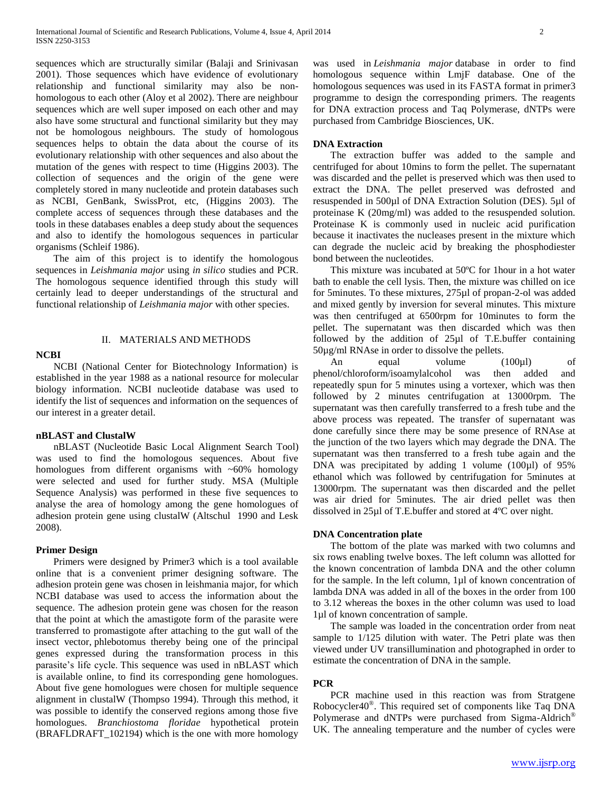sequences which are structurally similar (Balaji and Srinivasan 2001). Those sequences which have evidence of evolutionary relationship and functional similarity may also be nonhomologous to each other (Aloy et al 2002). There are neighbour sequences which are well super imposed on each other and may also have some structural and functional similarity but they may not be homologous neighbours. The study of homologous sequences helps to obtain the data about the course of its evolutionary relationship with other sequences and also about the mutation of the genes with respect to time (Higgins 2003). The collection of sequences and the origin of the gene were completely stored in many nucleotide and protein databases such as NCBI, GenBank, SwissProt, etc, (Higgins 2003). The complete access of sequences through these databases and the tools in these databases enables a deep study about the sequences and also to identify the homologous sequences in particular organisms (Schleif 1986).

 The aim of this project is to identify the homologous sequences in *Leishmania major* using *in silico* studies and PCR. The homologous sequence identified through this study will certainly lead to deeper understandings of the structural and functional relationship of *Leishmania major* with other species.

#### **NCBI**

## II. MATERIALS AND METHODS

 NCBI (National Center for Biotechnology Information) is established in the year 1988 as a national resource for molecular biology information. NCBI nucleotide database was used to identify the list of sequences and information on the sequences of our interest in a greater detail.

## **nBLAST and ClustalW**

 nBLAST (Nucleotide Basic Local Alignment Search Tool) was used to find the homologous sequences. About five homologues from different organisms with ~60% homology were selected and used for further study. MSA (Multiple Sequence Analysis) was performed in these five sequences to analyse the area of homology among the gene homologues of adhesion protein gene using clustalW (Altschul 1990 and Lesk 2008).

### **Primer Design**

 Primers were designed by Primer3 which is a tool available online that is a convenient primer designing software. The adhesion protein gene was chosen in leishmania major, for which NCBI database was used to access the information about the sequence. The adhesion protein gene was chosen for the reason that the point at which the amastigote form of the parasite were transferred to promastigote after attaching to the gut wall of the insect vector, phlebotomus thereby being one of the principal genes expressed during the transformation process in this parasite's life cycle. This sequence was used in nBLAST which is available online, to find its corresponding gene homologues. About five gene homologues were chosen for multiple sequence alignment in clustalW (Thompso 1994). Through this method, it was possible to identify the conserved regions among those five homologues. *Branchiostoma floridae* hypothetical protein (BRAFLDRAFT\_102194) which is the one with more homology

was used in *Leishmania major* database in order to find homologous sequence within LmjF database. One of the homologous sequences was used in its FASTA format in primer3 programme to design the corresponding primers. The reagents for DNA extraction process and Taq Polymerase, dNTPs were purchased from Cambridge Biosciences, UK.

#### **DNA Extraction**

 The extraction buffer was added to the sample and centrifuged for about 10mins to form the pellet. The supernatant was discarded and the pellet is preserved which was then used to extract the DNA. The pellet preserved was defrosted and resuspended in 500µl of DNA Extraction Solution (DES). 5µl of proteinase K (20mg/ml) was added to the resuspended solution. Proteinase K is commonly used in nucleic acid purification because it inactivates the nucleases present in the mixture which can degrade the nucleic acid by breaking the phosphodiester bond between the nucleotides.

 This mixture was incubated at 50ºC for 1hour in a hot water bath to enable the cell lysis. Then, the mixture was chilled on ice for 5minutes. To these mixtures, 275µl of propan-2-ol was added and mixed gently by inversion for several minutes. This mixture was then centrifuged at 6500rpm for 10minutes to form the pellet. The supernatant was then discarded which was then followed by the addition of 25µl of T.E.buffer containing 50µg/ml RNAse in order to dissolve the pellets.

An equal volume (100µl) of phenol/chloroform/isoamylalcohol was then added and repeatedly spun for 5 minutes using a vortexer, which was then followed by 2 minutes centrifugation at 13000rpm. The supernatant was then carefully transferred to a fresh tube and the above process was repeated. The transfer of supernatant was done carefully since there may be some presence of RNAse at the junction of the two layers which may degrade the DNA. The supernatant was then transferred to a fresh tube again and the DNA was precipitated by adding 1 volume (100µl) of 95% ethanol which was followed by centrifugation for 5minutes at 13000rpm. The supernatant was then discarded and the pellet was air dried for 5minutes. The air dried pellet was then dissolved in 25µl of T.E.buffer and stored at 4ºC over night.

#### **DNA Concentration plate**

 The bottom of the plate was marked with two columns and six rows enabling twelve boxes. The left column was allotted for the known concentration of lambda DNA and the other column for the sample. In the left column, 1µl of known concentration of lambda DNA was added in all of the boxes in the order from 100 to 3.12 whereas the boxes in the other column was used to load 1µl of known concentration of sample.

 The sample was loaded in the concentration order from neat sample to 1/125 dilution with water. The Petri plate was then viewed under UV transillumination and photographed in order to estimate the concentration of DNA in the sample.

### **PCR**

 PCR machine used in this reaction was from Stratgene Robocycler40® . This required set of components like Taq DNA Polymerase and dNTPs were purchased from Sigma-Aldrich<sup>®</sup> UK. The annealing temperature and the number of cycles were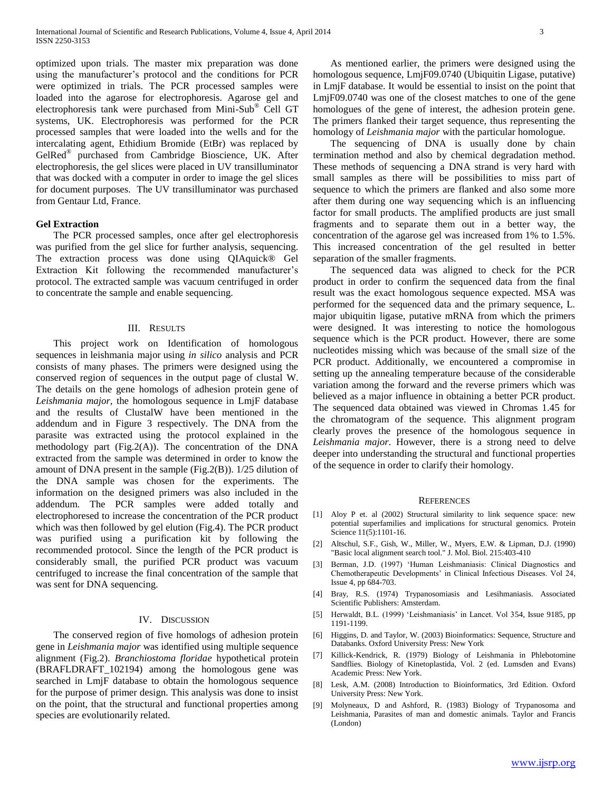optimized upon trials. The master mix preparation was done using the manufacturer's protocol and the conditions for PCR were optimized in trials. The PCR processed samples were loaded into the agarose for electrophoresis. Agarose gel and electrophoresis tank were purchased from Mini-Sub® Cell GT systems, UK. Electrophoresis was performed for the PCR processed samples that were loaded into the wells and for the intercalating agent, Ethidium Bromide (EtBr) was replaced by GelRed® purchased from Cambridge Bioscience, UK. After electrophoresis, the gel slices were placed in UV transilluminator that was docked with a computer in order to image the gel slices for document purposes. The UV transilluminator was purchased from Gentaur Ltd, France.

## **Gel Extraction**

 The PCR processed samples, once after gel electrophoresis was purified from the gel slice for further analysis, sequencing. The extraction process was done using QIAquick® Gel Extraction Kit following the recommended manufacturer's protocol. The extracted sample was vacuum centrifuged in order to concentrate the sample and enable sequencing.

### III. RESULTS

 This project work on Identification of homologous sequences in leishmania major using *in silico* analysis and PCR consists of many phases. The primers were designed using the conserved region of sequences in the output page of clustal W. The details on the gene homologs of adhesion protein gene of *Leishmania major,* the homologous sequence in LmjF database and the results of ClustalW have been mentioned in the addendum and in Figure 3 respectively. The DNA from the parasite was extracted using the protocol explained in the methodology part (Fig.2(A)). The concentration of the DNA extracted from the sample was determined in order to know the amount of DNA present in the sample (Fig.2(B)). 1/25 dilution of the DNA sample was chosen for the experiments. The information on the designed primers was also included in the addendum. The PCR samples were added totally and electrophoresed to increase the concentration of the PCR product which was then followed by gel elution (Fig.4). The PCR product was purified using a purification kit by following the recommended protocol. Since the length of the PCR product is considerably small, the purified PCR product was vacuum centrifuged to increase the final concentration of the sample that was sent for DNA sequencing.

#### IV. DISCUSSION

 The conserved region of five homologs of adhesion protein gene in *Leishmania major* was identified using multiple sequence alignment (Fig.2). *Branchiostoma floridae* hypothetical protein (BRAFLDRAFT\_102194) among the homologous gene was searched in LmjF database to obtain the homologous sequence for the purpose of primer design. This analysis was done to insist on the point, that the structural and functional properties among species are evolutionarily related.

 As mentioned earlier, the primers were designed using the homologous sequence, LmjF09.0740 (Ubiquitin Ligase, putative) in LmjF database. It would be essential to insist on the point that LmjF09.0740 was one of the closest matches to one of the gene homologues of the gene of interest, the adhesion protein gene. The primers flanked their target sequence, thus representing the homology of *Leishmania major* with the particular homologue.

 The sequencing of DNA is usually done by chain termination method and also by chemical degradation method. These methods of sequencing a DNA strand is very hard with small samples as there will be possibilities to miss part of sequence to which the primers are flanked and also some more after them during one way sequencing which is an influencing factor for small products. The amplified products are just small fragments and to separate them out in a better way, the concentration of the agarose gel was increased from 1% to 1.5%. This increased concentration of the gel resulted in better separation of the smaller fragments.

 The sequenced data was aligned to check for the PCR product in order to confirm the sequenced data from the final result was the exact homologous sequence expected. MSA was performed for the sequenced data and the primary sequence, L. major ubiquitin ligase, putative mRNA from which the primers were designed. It was interesting to notice the homologous sequence which is the PCR product. However, there are some nucleotides missing which was because of the small size of the PCR product. Additionally, we encountered a compromise in setting up the annealing temperature because of the considerable variation among the forward and the reverse primers which was believed as a major influence in obtaining a better PCR product. The sequenced data obtained was viewed in Chromas 1.45 for the chromatogram of the sequence. This alignment program clearly proves the presence of the homologous sequence in *Leishmania major*. However, there is a strong need to delve deeper into understanding the structural and functional properties of the sequence in order to clarify their homology.

#### **REFERENCES**

- [1] Aloy P et. al (2002) Structural similarity to link sequence space: new potential superfamilies and implications for structural genomics. Protein Science 11(5):1101-16.
- [2] Altschul, S.F., Gish, W., Miller, W., Myers, E.W. & Lipman, D.J. (1990) "Basic local alignment search tool." J. Mol. Biol. 215:403-410
- [3] Berman, J.D. (1997) 'Human Leishmaniasis: Clinical Diagnostics and Chemotherapeutic Developments' in Clinical Infectious Diseases. Vol 24, Issue 4, pp 684-703.
- [4] Bray, R.S. (1974) Trypanosomiasis and Lesihmaniasis. Associated Scientific Publishers: Amsterdam.
- [5] Herwaldt, B.L. (1999) 'Leishmaniasis' in Lancet. Vol 354, Issue 9185, pp 1191-1199.
- [6] Higgins, D. and Taylor, W. (2003) Bioinformatics: Sequence, Structure and Databanks. Oxford University Press: New York
- [7] Killick-Kendrick, R. (1979) Biology of Leishmania in Phlebotomine Sandflies. Biology of Kinetoplastida, Vol. 2 (ed. Lumsden and Evans) Academic Press: New York.
- [8] Lesk, A.M. (2008) Introduction to Bioinformatics, 3rd Edition. Oxford University Press: New York.
- [9] Molyneaux, D and Ashford, R. (1983) Biology of Trypanosoma and Leishmania, Parasites of man and domestic animals. Taylor and Francis (London)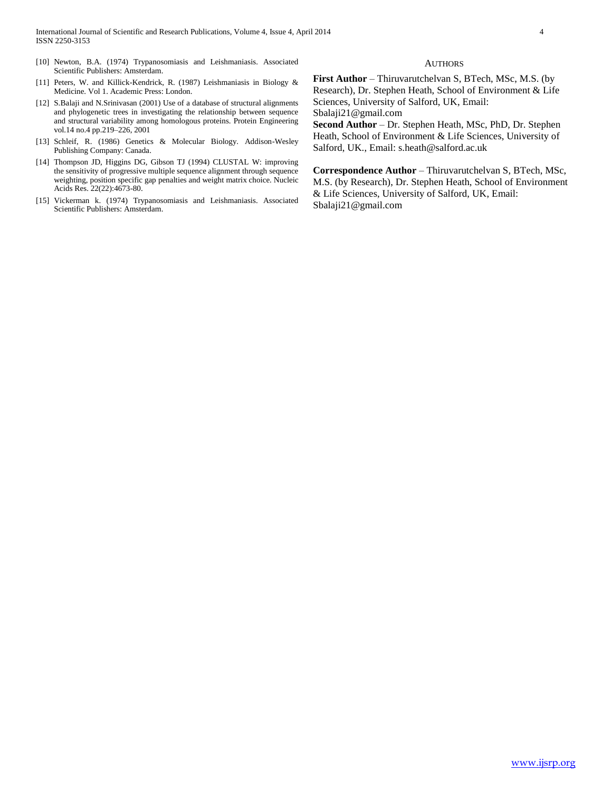- [10] Newton, B.A. (1974) Trypanosomiasis and Leishmaniasis. Associated Scientific Publishers: Amsterdam.
- [11] Peters, W. and Killick-Kendrick, R. (1987) Leishmaniasis in Biology & Medicine. Vol 1. Academic Press: London.
- [12] S.Balaji and N.Srinivasan (2001) Use of a database of structural alignments and phylogenetic trees in investigating the relationship between sequence and structural variability among homologous proteins. Protein Engineering vol.14 no.4 pp.219–226, 2001
- [13] Schleif, R. (1986) Genetics & Molecular Biology. Addison-Wesley Publishing Company: Canada.
- [14] Thompson JD, Higgins DG, Gibson TJ (1994) CLUSTAL W: improving the sensitivity of progressive multiple sequence alignment through sequence weighting, position specific gap penalties and weight matrix choice. Nucleic Acids Res. 22(22):4673-80.
- [15] Vickerman k. (1974) Trypanosomiasis and Leishmaniasis. Associated Scientific Publishers: Amsterdam.

#### **AUTHORS**

**First Author** – Thiruvarutchelvan S, BTech, MSc, M.S. (by Research), Dr. Stephen Heath, School of Environment & Life Sciences, University of Salford, UK, Email:

Sbalaji21@gmail.com

**Second Author** – Dr. Stephen Heath, MSc, PhD, Dr. Stephen Heath, School of Environment & Life Sciences, University of Salford, UK., Email: s.heath@salford.ac.uk

**Correspondence Author** – Thiruvarutchelvan S, BTech, MSc, M.S. (by Research), Dr. Stephen Heath, School of Environment & Life Sciences, University of Salford, UK, Email: Sbalaji21@gmail.com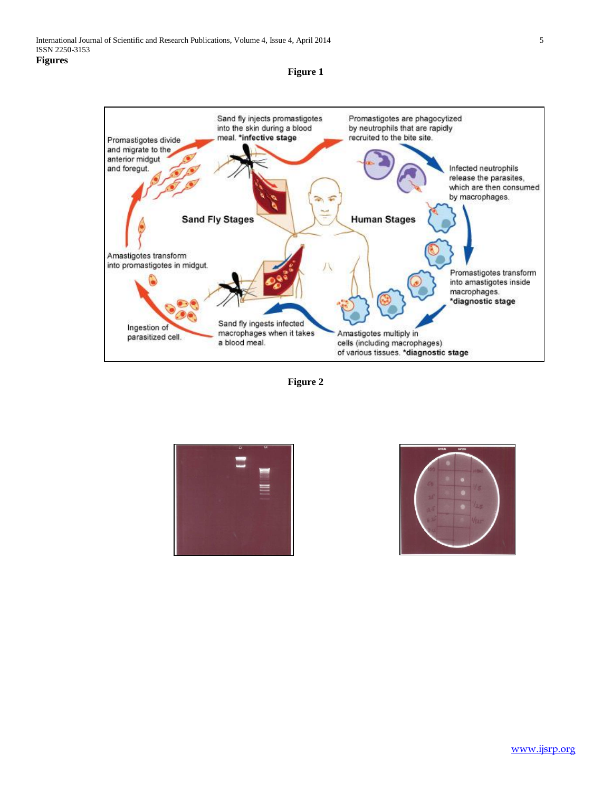

**Figure 1**





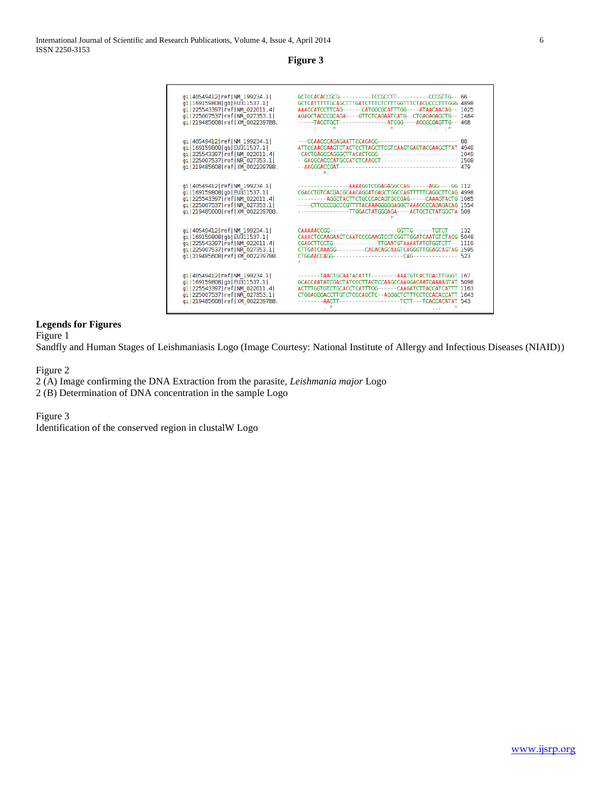# **Figure 3**

| gi   40549412   ref   NM 199234.1  <br>qi   169159808   qb   EU311537.1  <br>qi   225543397   ref   NM 022011.4  <br>gi   225007537   ref   NR 027353.1  <br>gi   219485608   ref   XM 002239788. | GCTCCACACCGCG---------TCCGCCTT---------CCCGCTG-- 66<br>GCTCATTITTGCAGCTTTGATCTTTCTCTTTGGTTTCTACGCCCTTTGGG 4898<br>AAACCATCCTTCAG------CATGGCGCATTTGG----ATAACAACAG-- 1025<br>AGAGCTACCCGCAGA----GTTCTCAGAATCATG--CTGAGAGAGCTG-- 1484<br>-----TACCTGCT---------------ATCGG----AGGGCGAGTTG-- 468                                        |    |
|---------------------------------------------------------------------------------------------------------------------------------------------------------------------------------------------------|---------------------------------------------------------------------------------------------------------------------------------------------------------------------------------------------------------------------------------------------------------------------------------------------------------------------------------------|----|
| gi   40549412   ref   NM 199234.1  <br>gi   169159808   gb   EU311537.1  <br>qi   225543397   ref   NM 022011.4  <br>gi   225007537   ref   NR 027353.1  <br>gi   219485608   ref   XM 002239788. | ATTCCAACCAAGTCTACTCCTTAGCTTCGTCAAGTGAGTACGAAGCTTAT 4948<br>and the state                                                                                                                                                                                                                                                              | 88 |
| qi   40549412   ref   NM 199234.1  <br>qi   169159808   qb   EU311537.1  <br>qi   225543397   ref   NM 022011.4  <br>gi   225007537   ref   NR 027353.1  <br>gi   219485608   ref   XM 002239788. | -----------------AAAAGGTCGGAGAGGCCAG------AGG----GG 112<br>CGACCTGTCACGACGCAACAGGATGAGCTGGCCAGTTTTTCAGGCTTCAG 4998<br>-------- AGGCTACTTCTGCCCACAGTGCCGAG----- CAAAGTACTG 1085<br>----CTTCCCCGCCCGTTTTACAAAGGGGGAGGCTAAAGCCCAGAGACAG 1554<br>---------------TTGGACTATGGGAGA----ACTGCTCTATGGCTA 509<br>and the company of the state of |    |
| qi   40549412   ref   NM 199234.1  <br>gi   169159808   gb   EU311537.1  <br>qi   225543397   ref   NM 022011.4  <br>qi   225007537   ref   NR 027353.1  <br>qi   219485608   ref   XM 002239788. | CAAAAACCGG----------------------GGTTG------TGTCT--- 132<br>CAAACTCCAAGAACTCAATCCCGAAGTCCTCGGTTGGATCAATGTCTACG 5048<br>CGAGCTTCCTG-------------TTGAATGTAAAATATGTGGTCTT-- 1119<br>CTTGATCAAAGG--------CACACAGCAAGTCAGGGTTGGAGCAGTAG 1595<br><b>Contract Contract</b>                                                                    |    |
| qi   40549412   ref   NM 199234.1  <br>qi   169159808   qb   EU311537.1  <br>qi   225543397   ref   NM 022011.4  <br>qi   225007537   ref   NR 027353.1  <br>qi   219485608   ref   XM 002239788. | -------TAACTGCAATACATTT--------AAATGTCACTGACTTGGGT 167<br>GCACCAATATCGACTATCCCTTAGTCCAAGCCAAGGACAATGAAAAGTAT 5098<br>ACTTTGGTGTCTGCACCTCATTTGG------CAAGATCTTACCATCATTT 1163<br>CTGGAGGGACCTTGTCTCCCAGCTC--AGGGCTCTTTCCTCCACACCATT 1643<br>The Committee of the<br><b>ALCOHOL:</b>                                                    |    |

# **Legends for Figures**

Figure 1

Sandfly and Human Stages of Leishmaniasis Logo (Image Courtesy: National Institute of Allergy and Infectious Diseases (NIAID))

Figure 2

2 (A) Image confirming the DNA Extraction from the parasite, *Leishmania major* Logo 2 (B) Determination of DNA concentration in the sample Logo

Figure 3

Identification of the conserved region in clustalW Logo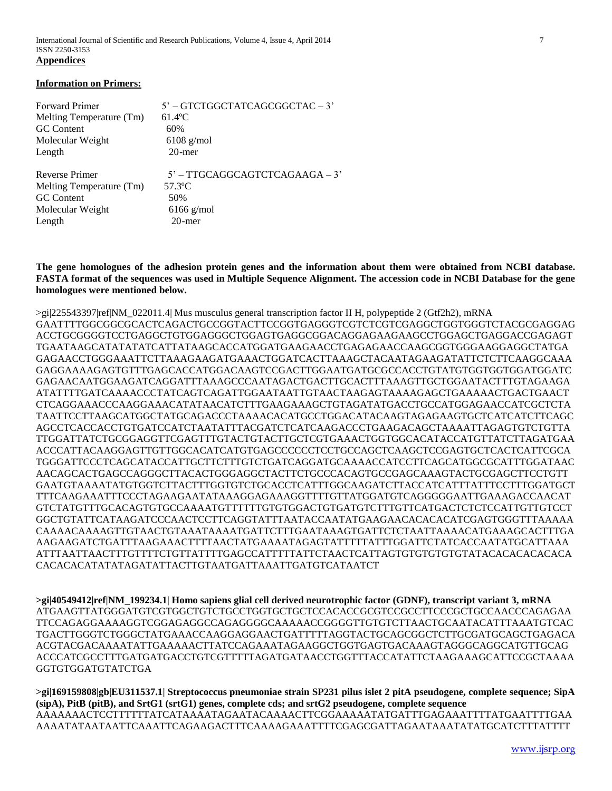International Journal of Scientific and Research Publications, Volume 4, Issue 4, April 2014 7 ISSN 2250-3153 **Appendices**

#### **Information on Primers:**

| <b>Forward Primer</b>    | 5' - GTCTGGCTATCAGCGGCTAC - 3'   |
|--------------------------|----------------------------------|
| Melting Temperature (Tm) | $61.4$ <sup>o</sup> C            |
| <b>GC</b> Content        | 60%                              |
| Molecular Weight         | $6108$ g/mol                     |
| Length                   | $20$ -mer                        |
| Reverse Primer           | $5'$ – TTGCAGGCAGTCTCAGAAGA – 3' |
| Melting Temperature (Tm) | 57.3 <sup>o</sup> C              |
| <b>GC</b> Content        | 50%                              |
| Molecular Weight         | $6166$ g/mol                     |
| Length                   | $20$ -mer                        |

**The gene homologues of the adhesion protein genes and the information about them were obtained from NCBI database. FASTA format of the sequences was used in Multiple Sequence Alignment. The accession code in NCBI Database for the gene homologues were mentioned below.**

>gi|225543397|ref|NM\_022011.4| Mus musculus general transcription factor II H, polypeptide 2 (Gtf2h2), mRNA GAATTTTGGCGGCGCACTCAGACTGCCGGTACTTCCGGTGAGGGTCGTCTCGTCGAGGCTGGTGGGTCTACGCGAGGAG ACCTGCGGGGTCCTGAGGCTGTGGAGGGCTGGAGTGAGGCGGACAGGAGAAGAAGCCTGGAGCTGAGGACCGAGAGT TGAATAAGCATATATATCATTATAAGCACCATGGATGAAGAACCTGAGAGAACCAAGCGGTGGGAAGGAGGCTATGA GAGAACCTGGGAAATTCTTAAAGAAGATGAAACTGGATCACTTAAAGCTACAATAGAAGATATTCTCTTCAAGGCAAA GAGGAAAAGAGTGTTTGAGCACCATGGACAAGTCCGACTTGGAATGATGCGCCACCTGTATGTGGTGGTGGATGGATC GAGAACAATGGAAGATCAGGATTTAAAGCCCAATAGACTGACTTGCACTTTAAAGTTGCTGGAATACTTTGTAGAAGA ATATTTTGATCAAAACCCTATCAGTCAGATTGGAATAATTGTAACTAAGAGTAAAAGAGCTGAAAAACTGACTGAACT CTCAGGAAACCCAAGGAAACATATAACATCTTTGAAGAAAGCTGTAGATATGACCTGCCATGGAGAACCATCGCTCTA TAATTCCTTAAGCATGGCTATGCAGACCCTAAAACACATGCCTGGACATACAAGTAGAGAAGTGCTCATCATCTTCAGC AGCCTCACCACCTGTGATCCATCTAATATTTACGATCTCATCAAGACCCTGAAGACAGCTAAAATTAGAGTGTCTGTTA TTGGATTATCTGCGGAGGTTCGAGTTTGTACTGTACTTGCTCGTGAAACTGGTGGCACATACCATGTTATCTTAGATGAA ACCCATTACAAGGAGTTGTTGGCACATCATGTGAGCCCCCCTCCTGCCAGCTCAAGCTCCGAGTGCTCACTCATTCGCA TGGGATTCCCTCAGCATACCATTGCTTCTTTGTCTGATCAGGATGCAAAACCATCCTTCAGCATGGCGCATTTGGATAAC AACAGCACTGAGCCAGGGCTTACACTGGGAGGCTACTTCTGCCCACAGTGCCGAGCAAAGTACTGCGAGCTTCCTGTT GAATGTAAAATATGTGGTCTTACTTTGGTGTCTGCACCTCATTTGGCAAGATCTTACCATCATTTATTTCCTTTGGATGCT TTTCAAGAAATTTCCCTAGAAGAATATAAAGGAGAAAGGTTTTGTTATGGATGTCAGGGGGAATTGAAAGACCAACAT GTCTATGTTTGCACAGTGTGCCAAAATGTTTTTTGTGTGGACTGTGATGTCTTTGTTCATGACTCTCTCCATTGTTGTCCT GGCTGTATTCATAAGATCCCAACTCCTTCAGGTATTTAATACCAATATGAAGAACACACACATCGAGTGGGTTTAAAAA CAAAACAAAAGTTGTAACTGTAAATAAAATGATTCTTTGAATAAAGTGATTCTCTAATTAAAACATGAAAGCACTTTGA AAGAAGATCTGATTTAAGAAACTTTTAACTATGAAAATAGAGTATTTTTATTTGGATTCTATCACCAATATGCATTAAA ATTTAATTAACTTTGTTTTCTGTTATTTTGAGCCATTTTTATTCTAACTCATTAGTGTGTGTGTGTATACACACACACACA CACACACATATATAGATATTACTTGTAATGATTAAATTGATGTCATAATCT

**>gi|40549412|ref|NM\_199234.1| Homo sapiens glial cell derived neurotrophic factor (GDNF), transcript variant 3, mRNA** ATGAAGTTATGGGATGTCGTGGCTGTCTGCCTGGTGCTGCTCCACACCGCGTCCGCCTTCCCGCTGCCAACCCAGAGAA TTCCAGAGGAAAAGGTCGGAGAGGCCAGAGGGGCAAAAACCGGGGTTGTGTCTTAACTGCAATACATTTAAATGTCAC TGACTTGGGTCTGGGCTATGAAACCAAGGAGGAACTGATTTTTAGGTACTGCAGCGGCTCTTGCGATGCAGCTGAGACA ACGTACGACAAAATATTGAAAAACTTATCCAGAAATAGAAGGCTGGTGAGTGACAAAGTAGGGCAGGCATGTTGCAG ACCCATCGCCTTTGATGATGACCTGTCGTTTTTAGATGATAACCTGGTTTACCATATTCTAAGAAAGCATTCCGCTAAAA GGTGTGGATGTATCTGA

**>gi|169159808|gb|EU311537.1| Streptococcus pneumoniae strain SP231 pilus islet 2 pitA pseudogene, complete sequence; SipA (sipA), PitB (pitB), and SrtG1 (srtG1) genes, complete cds; and srtG2 pseudogene, complete sequence** AAAAAAACTCCTTTTTTATCATAAAATAGAATACAAAACTTCGGAAAAATATGATTTGAGAAATTTTATGAATTTTGAA AAAATATAATAATTCAAATTCAGAAGACTTTCAAAAGAAATTTTCGAGCGATTAGAATAAATATATGCATCTTTATTTT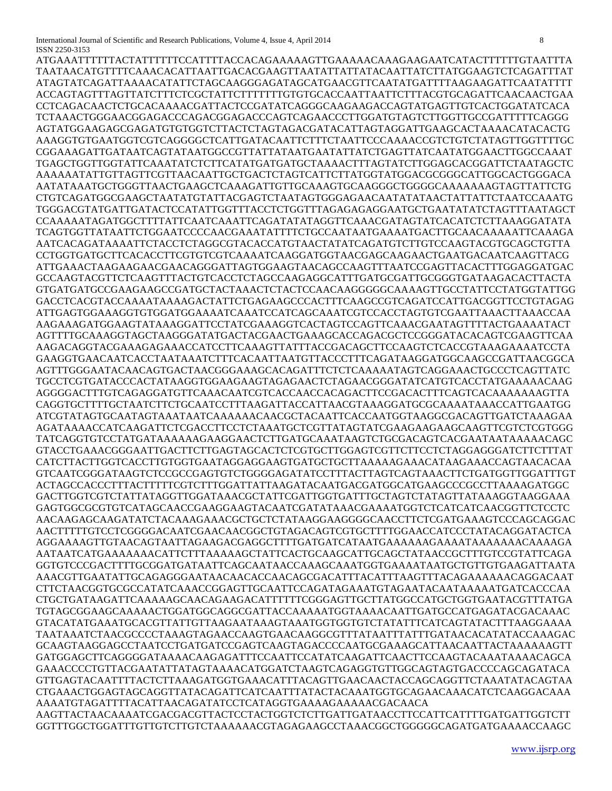ATGAAATTTTTTACTATTTTTTCCATTTTACCACAGAAAAAGTTGAAAAACAAAGAAGAATCATACTTTTTTGTAATTTA TAATAACATGTTTTCAAACACATTAATTGACACGAAGTTAATATTATTATACAATTATCTTATGGAAGTCTCAGATTTAT ATAGTATCAGATTAAAACATATTCTAGCAAGGGAGATAGCATGAACGTTCAATATGATTTTAAGAAGATTCAATATTTT ACCAGTAGTTTAGTTATCTTTCTCGCTATTCTTTTTTTGTGTGCACCAATTAATTCTTTACGTGCAGATTCAACAACTGAA CCTCAGACAACTCTGCACAAAACGATTACTCCGATATCAGGGCAAGAAGACCAGTATGAGTTGTCACTGGATATCACA TCTAAACTGGGAACGGAGACCCAGACGGAGACCCAGTCAGAACCCTTGGATGTAGTCTTGGTTGCCGATTTTTCAGGG AGTATGGAAGAGCGAGATGTGTGGTCTTACTCTAGTAGACGATACATTAGTAGGATTGAAGCACTAAAACATACACTG AAAGGTGTGAATGGTCGTCAGGGGCTCATTGATACAATTCTTTCTAATTCCCAAAACCGTCTGTCTATAGTTGGTTTTGC CGGAAAGATTGATAATCAGTATAATGGCCGTTATTATAATGAATATTATCTGAGTTATCAATATGGAACTTGGCCAAAT TGAGCTGGTTGGTATTCAAATATCTCTTCATATGATGATGCTAAAACTTTAGTATCTTGGAGCACGGATTCTAATAGCTC AAAAAATATTGTTAGTTCGTTAACAATTGCTGACTCTAGTCATTCTTATGGTATGGACGCGGGCATTGGCACTGGGACA AATATAAATGCTGGGTTAACTGAAGCTCAAAGATTGTTGCAAAGTGCAAGGGCTGGGGCAAAAAAAGTAGTTATTCTG CTGTCAGATGGCGAAGCTAATATGTATTACGAGTCTAATAGTGGGAGAACAATATATAACTATTATTCTAATCCAAATG TGGGACGTATGATTGATACTCCATATTGGTTTACCTCTGGTTTAGAGAGAGGAATGCTGAATATATCTAGTTTAATAGCT CCAAAAATAGATGGCTTTTATTCAATCAAATTCAGATATATAGGTTCAAACGATAGTATCACATCTCTTAAAGGATATA TCAGTGGTTATAATTCTGGAATCCCCAACGAAATATTTTCTGCCAATAATGAAAATGACTTGCAACAAAAATTCAAAGA AATCACAGATAAAATTCTACCTCTAGGCGTACACCATGTAACTATATCAGATGTCTTGTCCAAGTACGTGCAGCTGTTA CCTGGTGATGCTTCACACCTTCGTGTCGTCAAAATCAAGGATGGTAACGAGCAAGAACTGAATGACAATCAAGTTACG ATTGAAACTAAGAAGAACGAACAGGGATTAGTGGAAGTAACAGCCAAGTTTAATCCGAGTTACACTTTGGAGGATGAC GCCAAGTACGTTCTCAAGTTTACTGTCACCTCTAGCCAAGAGGCATTTGATGCGATTGCGGGTGATAAGACACTTACTA GTGATGATGCCGAAGAAGCCGATGCTACTAAACTCTACTCCAACAAGGGGGCAAAAGTTGCCTATTCCTATGGTATTGG GACCTCACGTACCAAAATAAAAGACTATTCTGAGAAGCCCACTTTCAAGCCGTCAGATCCATTGACGGTTCCTGTAGAG ATTGAGTGGAAAGGTGTGGATGGAAAATCAAATCCATCAGCAAATCGTCCACCTAGTGTCGAATTAAACTTAAACCAA AAGAAAGATGGAAGTATAAAGGATTCCTATCGAAAGGTCACTAGTCCAGTTCAAACGAATAGTTTTACTGAAAATACT AGTTTTGCAAAGGTAGCTAAGGGATATGACTACGAACTGAAAGCACCAGACGCTCCGGGATACACAGTCGAAGTTCAA AAGACAGGTACGAAAGAGAAACCATCCTTCAAAGTTATTTACCGACAGCTTCCAAGTCTCACCGTAAAGAAAATCCTA GAAGGTGAACAATCACCTAATAAATCTTTCACAATTAATGTTACCCTTTCAGATAAGGATGGCAAGCCGATTAACGGCA AGTTTGGGAATACAACAGTGACTAACGGGAAAGCACAGATTTCTCTCAAAAATAGTCAGGAAACTGCCCTCAGTTATC TGCCTCGTGATACCCACTATAAGGTGGAAGAAGTAGAGAACTCTAGAACGGGATATCATGTCACCTATGAAAAACAAG AGGGGACTTTGTCAGAGGATGTTCAAACAATCGTCACCAACCACAGACTTCCGACACTTTCAGTCACAAAAAAAGTTA CAGGTGCTTTTGCTAATCTTCTGCAATCCTTTAAGATTACCATTAACGTAAAGGATGCGCAAAATAAACCATTGAATGG ATCGTATAGTGCAATAGTAAATAATCAAAAAACAACGCTACAATTCACCAATGGTAAGGCGACAGTTGATCTAAAGAA AGATAAAACCATCAAGATTCTCGACCTTCCTCTAAATGCTCGTTATAGTATCGAAGAAGAAGCAAGTTCGTCTCGTGGG TATCAGGTGTCCTATGATAAAAAAGAAGGAACTCTTGATGCAAATAAGTCTGCGACAGTCACGAATAATAAAAACAGC GTACCTGAAACGGGAATTGACTTCTTGAGTAGCACTCTCGTGCTTGGAGTCGTTCTTCCTCTAGGAGGGATCTTCTTTAT CATCTTACTTGGTCACCTTGTGGTGAATAGGAGGAAGTGATGCTGCTTAAAAAGAAACATAAGAAACCAGTAACACAA GTCAATCGGGATAAGTCTCCGCCGAGTGTCTGGGGAGATATCCTTTACTTAGTCAGTAAACTTCTGATGGTTGGATTTGT ACTAGCCACCCTTTACTTTTTCGTCTTTGGATTATTAAGATACAATGACGATGGCATGAAGCCCGCCTTAAAAGATGGC GACTTGGTCGTCTATTATAGGTTGGATAAACGCTATTCGATTGGTGATTTGCTAGTCTATAGTTATAAAGGTAAGGAAA GAGTGGCGCGTGTCATAGCAACCGAAGGAAGTACAATCGATATAAACGAAAATGGTCTCATCATCAACGGTTCTCCTC AACAAGAGCAAGATATCTACAAAGAAACGCTGCTCTATAAGGAAGGGGCAACCTTCTCGATGAAAGTCCCAGCAGGAC AACTTTTTGTCCTCGGGGACAATCGAACAACGGCTGTAGACAGTCGTGCTTTTGGAACCATCCCTATACAGGATACTCA AGGAAAAGTTGTAACAGTAATTAGAAGACGAGGCTTTTGATGATCATAATGAAAAAAGAAAATAAAAAAACAAAAGA AATAATCATGAAAAAAACATTCTTTAAAAAGCTATTCACTGCAAGCATTGCAGCTATAACCGCTTTGTCCGTATTCAGA GGTGTCCCGACTTTTGCGGATGATAATTCAGCAATAACCAAAGCAAATGGTGAAAATAATGCTGTTGTGAAGATTAATA AAACGTTGAATATTGCAGAGGGAATAACAACACCAACAGCGACATTTACATTTAAGTTTACAGAAAAAACAGGACAAT CTTCTAACGGTGCGCCATATCAAACCGGAGTTGCAATTCCAGATAGAAATGTAGAATACAATAAAAATGATCACCCAA CTGCTGATAAGATTCAAAAAGCAACAGAAGACATTTTTTCGGGAGTTGCTTATGGCCATGCTGGTGAATACGTTTATGA TGTAGCGGAAGCAAAAACTGGATGGCAGGCGATTACCAAAAATGGTAAAACAATTGATGCCATGAGATACGACAAAC GTACATATGAAATGCACGTTATTGTTAAGAATAAAGTAAATGGTGGTGTCTATATTTCATCAGTATACTTTAAGGAAAA TAATAAATCTAACGCCCCTAAAGTAGAACCAAGTGAACAAGGCGTTTATAATTTATTTGATAACACATATACCAAAGAC GCAAGTAAGGAGCCTAATCCTGATGATCCGAGTCAAGTAGACCCCAATGCGAAAGCATTAACAATTACTAAAAAAGTT GATGGAGCTTCAGGGGATAAAACAAGAGATTTCCAATTCCATATCAAGATTCAACTTCCAAGTACAAATAAAACAGCA GAAACCCCTGTTACGAATATTATAGTAAAACATGGATCTAAGTCAGAGGTGTTGGCAGTAGTGACCCCAGCAGATACA GTTGAGTACAATTTTACTCTTAAAGATGGTGAAACATTTACAGTTGAACAACTACCAGCAGGTTCTAAATATACAGTAA CTGAAACTGGAGTAGCAGGTTATACAGATTCATCAATTTATACTACAAATGGTGCAGAACAAACATCTCAAGGACAAA AAAATGTAGATTTTACATTAACAGATATCCTCATAGGTGAAAAGAAAAACGACAACA AAGTTACTAACAAAATCGACGACGTTACTCCTACTGGTCTCTTGATTGATAACCTTCCATTCATTTTGATGATTGGTCTT GGTTTGGCTGGATTTGTTGTCTTGTCTAAAAAACGTAGAGAAGCCTAAACGGCTGGGGGCAGATGATGAAAACCAAGC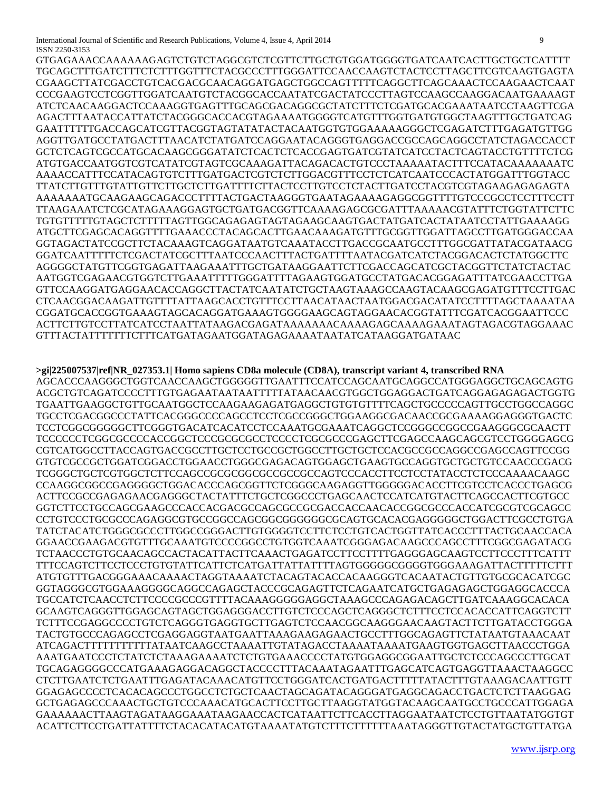International Journal of Scientific and Research Publications, Volume 4, Issue 4, April 2014 9 ISSN 2250-3153

GTGAGAAACCAAAAAAGAGTCTGTCTAGGCGTCTCGTTCTTGCTGTGGATGGGGTGATCAATCACTTGCTGCTCATTTT TGCAGCTTTGATCTTTCTCTTTGGTTTCTACGCCCTTTGGGATTCCAACCAAGTCTACTCCTTAGCTTCGTCAAGTGAGTA CGAAGCTTATCGACCTGTCACGACGCAACAGGATGAGCTGGCCAGTTTTTCAGGCTTCAGCAAACTCCAAGAACTCAAT CCCGAAGTCCTCGGTTGGATCAATGTCTACGGCACCAATATCGACTATCCCTTAGTCCAAGCCAAGGACAATGAAAAGT ATCTCAACAAGGACTCCAAAGGTGAGTTTGCAGCGACAGGCGCTATCTTTCTCGATGCACGAAATAATCCTAAGTTCGA AGACTTTAATACCATTATCTACGGGCACCACGTAGAAAATGGGGTCATGTTTGGTGATGTGGCTAAGTTTGCTGATCAG GAATTTTTTGACCAGCATCGTTACGGTAGTATATACTACAATGGTGTGGAAAAAGGGCTCGAGATCTTTGAGATGTTGG AGGTTGATGCCTATGACTTTAACATCTATGATCCAGGAATACAGGGTGAGGACCGCCAGCAGGCCTATCTAGACCACCT GCTCTCAGTCGCCATGCACAAGCGGGATATCTCACTCTCACCGAGTGATCGTATCATCCTACTCAGTACCTGTTTTCTCG ATGTGACCAATGGTCGTCATATCGTAGTCGCAAAGATTACAGACACTGTCCCTAAAAATACTTTCCATACAAAAAAATC AAAACCATTTCCATACAGTGTCTTTGATGACTCGTCTCTTGGACGTTTCCTCTCATCAATCCCACTATGGATTTGGTACC TTATCTTGTTTGTATTGTTCTTGCTCTTGATTTTCTTACTCCTTGTCCTCTACTTGATCCTACGTCGTAGAAGAGAGAGTA AAAAAAATGCAAGAAGCAGACCCTTTTACTGACTAAGGGTGAATAGAAAAGAGGCGGTTTTGTCCCGCCTCCTTTCCTT TTAAGAAATCTCGCATAGAAAGGAGTGCTGATGACGGTTCAAAAGAGCGCGATTTAAAAACGTATTTCTGGTATTCTTC TGTGTTTTTGTAGCTCTTTTTAGTTGGCAGAGAGTAGTAGAAGCAAGTGACTATGATCACTATAATCCTATTGAAAAGG ATGCTTCGAGCACAGGTTTTGAAACCCTACAGCACTTGAACAAAGATGTTTGCGGTTGGATTAGCCTTGATGGGACCAA GGTAGACTATCCGCTTCTACAAAGTCAGGATAATGTCAAATACCTTGACCGCAATGCCTTTGGCGATTATACGATAACG GGATCAATTTTTCTCGACTATCGCTTTAATCCCAACTTTACTGATTTTAATACGATCATCTACGGACACTCTATGGCTTC AGGGGCTATGTTCGGTGAGATTAAGAAATTTGCTGATAAGGAATTCTTCGACCAGCATCGCTACGGTTCTATCTACTAC AATGGTCGAGAACGTGGTCTTGAAATTTTTGGGATTTTAGAAGTGGATGCCTATGACACGGAGATTTATCGAACCTTGA GTTCCAAGGATGAGGAACACCAGGCTTACTATCAATATCTGCTAAGTAAAGCCAAGTACAAGCGAGATGTTTCCTTGAC CTCAACGGACAAGATTGTTTTATTAAGCACCTGTTTCCTTAACATAACTAATGGACGACATATCCTTTTAGCTAAAATAA CGGATGCACCGGTGAAAGTAGCACAGGATGAAAGTGGGGAAGCAGTAGGAACACGGTATTTCGATCACGGAATTCCC ACTTCTTGTCCTTATCATCCTAATTATAAGACGAGATAAAAAAACAAAAGAGCAAAAGAAATAGTAGACGTAGGAAAC GTTTACTATTTTTTTCTTTCATGATAGAATGGATAGAGAAAATAATATCATAAGGATGATAAC

## **>gi|225007537|ref|NR\_027353.1| Homo sapiens CD8a molecule (CD8A), transcript variant 4, transcribed RNA**

AGCACCCAAGGGCTGGTCAACCAAGCTGGGGGTTGAATTTCCATCCAGCAATGCAGGCCATGGGAGGCTGCAGCAGTG ACGCTGTCAGATCCCCTTTGTGAGAATAATAATTTTTATAACAACGTGGCTGGAGGACTGATCAGGAGAGAGACTGGTG TGAATTGAAGGCTGTTGCAATGGCTCCAAGAAGAGATGAGGCTGTGTGTTTTCAGCTGCCCCCAGTTGCCTGGCCAGGC TGCCTCGACGGCCCTATTCACGGGCCCCAGCCTCCTCGCCGGGCTGGAAGGCGACAACCGCGAAAAGGAGGGTGACTC TCCTCGGCGGGGGCTTCGGGTGACATCACATCCTCCAAATGCGAAATCAGGCTCCGGGCCGGCCGAAGGGCGCAACTT TCCCCCCTCGGCGCCCCACCGGCTCCCGCGCGCCTCCCCTCGCGCCCGAGCTTCGAGCCAAGCAGCGTCCTGGGGAGCG CGTCATGGCCTTACCAGTGACCGCCTTGCTCCTGCCGCTGGCCTTGCTGCTCCACGCCGCCAGGCCGAGCCAGTTCCGG GTGTCGCCGCTGGATCGGACCTGGAACCTGGGCGAGACAGTGGAGCTGAAGTGCCAGGTGCTGCTGTCCAACCCGACG TCGGGCTGCTCGTGGCTCTTCCAGCCGCGCGGCGCCGCCGCCAGTCCCACCTTCCTCCTATACCTCTCCCAAAACAAGC CCAAGGCGGCCGAGGGGCTGGACACCCAGCGGTTCTCGGGCAAGAGGTTGGGGGACACCTTCGTCCTCACCCTGAGCG ACTTCCGCCGAGAGAACGAGGGCTACTATTTCTGCTCGGCCCTGAGCAACTCCATCATGTACTTCAGCCACTTCGTGCC GGTCTTCCTGCCAGCGAAGCCCACCACGACGCCAGCGCCGCGACCACCAACACCGGCGCCCACCATCGCGTCGCAGCC CCTGTCCCTGCGCCCAGAGGCGTGCCGGCCAGCGGCGGGGGGCGCAGTGCACACGAGGGGGCTGGACTTCGCCTGTGA TATCTACATCTGGGCGCCCTTGGCCGGGACTTGTGGGGTCCTTCTCCTGTCACTGGTTATCACCCTTTACTGCAACCACA GGAACCGAAGACGTGTTTGCAAATGTCCCCGGCCTGTGGTCAAATCGGGAGACAAGCCCAGCCTTTCGGCGAGATACG TCTAACCCTGTGCAACAGCCACTACATTACTTCAAACTGAGATCCTTCCTTTTGAGGGAGCAAGTCCTTCCCTTTCATTT TTTCCAGTCTTCCTCCCTGTGTATTCATTCTCATGATTATTATTTTAGTGGGGGCGGGGTGGGAAAGATTACTTTTTCTTT ATGTGTTTGACGGGAAACAAAACTAGGTAAAATCTACAGTACACCACAAGGGTCACAATACTGTTGTGCGCACATCGC GGTAGGGCGTGGAAAGGGGCAGGCCAGAGCTACCCGCAGAGTTCTCAGAATCATGCTGAGAGAGCTGGAGGCACCCA TGCCATCTCAACCTCTTCCCCGCCCGTTTTACAAAGGGGGAGGCTAAAGCCCAGAGACAGCTTGATCAAAGGCACACA GCAAGTCAGGGTTGGAGCAGTAGCTGGAGGGACCTTGTCTCCCAGCTCAGGGCTCTTTCCTCCACACCATTCAGGTCTT TCTTTCCGAGGCCCCTGTCTCAGGGTGAGGTGCTTGAGTCTCCAACGGCAAGGGAACAAGTACTTCTTGATACCTGGGA TACTGTGCCCAGAGCCTCGAGGAGGTAATGAATTAAAGAAGAGAACTGCCTTTGGCAGAGTTCTATAATGTAAACAAT ATCAGACTTTTTTTTTTTATAATCAAGCCTAAAATTGTATAGACCTAAAATAAAATGAAGTGGTGAGCTTAACCCTGGA AAATGAATCCCTCTATCTCTAAAGAAAATCTCTGTGAAACCCCTATGTGGAGGCGGAATTGCTCTCCCAGCCCTTGCAT TGCAGAGGGGCCCATGAAAGAGGACAGGCTACCCCTTTACAAATAGAATTTGAGCATCAGTGAGGTTAAACTAAGGCC CTCTTGAATCTCTGAATTTGAGATACAAACATGTTCCTGGGATCACTGATGACTTTTTATACTTTGTAAAGACAATTGTT GGAGAGCCCCTCACACAGCCCTGGCCTCTGCTCAACTAGCAGATACAGGGATGAGGCAGACCTGACTCTCTTAAGGAG GCTGAGAGCCCAAACTGCTGTCCCAAACATGCACTTCCTTGCTTAAGGTATGGTACAAGCAATGCCTGCCCATTGGAGA GAAAAAACTTAAGTAGATAAGGAAATAAGAACCACTCATAATTCTTCACCTTAGGAATAATCTCCTGTTAATATGGTGT ACATTCTTCCTGATTATTTTCTACACATACATGTAAAATATGTCTTTCTTTTTTAAATAGGGTTGTACTATGCTGTTATGA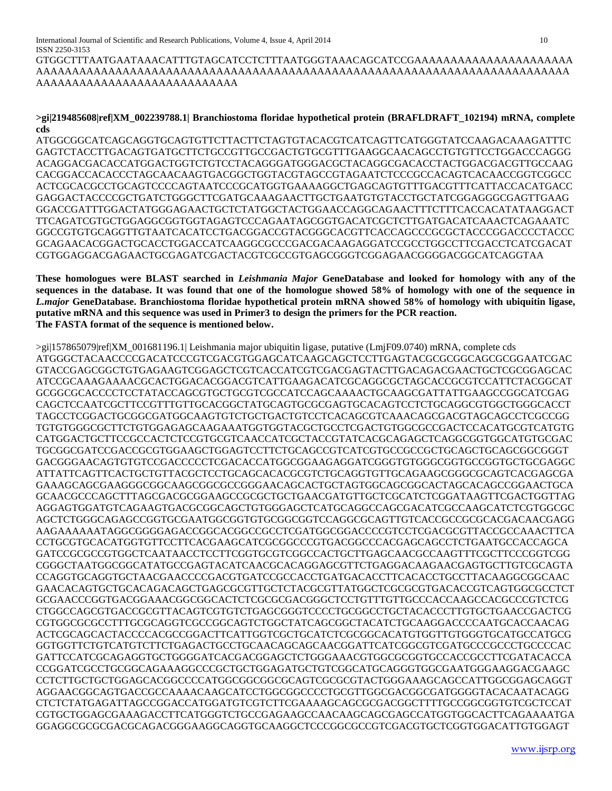GTGGCTTTAATGAATAAACATTTGTAGCATCCTCTTTAATGGGTAAACAGCATCCGAAAAAAAAAAAAAAAAAAAAAA AAAAAAAAAAAAAAAAAAAAAAAAAAAAAAAAAAAAAAAAAAAAAAAAAAAAAAAAAAAAAAAAAAAAAAAAAA AAAAAAAAAAAAAAAAAAAAAAAAAAAA

## **>gi|219485608|ref|XM\_002239788.1| Branchiostoma floridae hypothetical protein (BRAFLDRAFT\_102194) mRNA, complete cds**

ATGGCGGCATCAGCAGGTGCAGTGTTCTTACTTCTAGTGTACACGTCATCAGTTCATGGGTATCCAAGACAAAGATTTC GAGTCTACCTTGACAGTGATGCTTCTGCCGTTGCCGACTGTGCGTTTGAAGGCAACAGCCTGTGTTCCTGGACCCAGGG ACAGGACGACACCATGGACTGGTCTGTCCTACAGGGATGGGACGCTACAGGCGACACCTACTGGACGACGTTGCCAAG CACGGACCACACCCTAGCAACAAGTGACGGCTGGTACGTAGCCGTAGAATCTCCCGCCACAGTCACAACCGGTCGGCC ACTCGCACGCCTGCAGTCCCCAGTAATCCCGCATGGTGAAAAGGCTGAGCAGTGTTTGACGTTTCATTACCACATGACC GAGGACTACCCCGCTGATCTGGGCTTCGATGCAAAGAACTTGCTGAATGTGTACCTGCTATCGGAGGGCGAGTTGAAG GGACCGATTTGGACTATGGGAGAACTGCTCTATGGCTACTGGAACCAGGCAGAACTTTCTTTCACCACATATAAGGACT TTCAGATCGTGCTGGAGGCGGTGGTAGAGTCCCAGAATAGCGGTGACATCGCTCTTGATGACATCAAACTCAGAAATC GGCCGTGTGCAGGTTGTAATCACATCCTGACGGACCGTACGGGCACGTTCACCAGCCCGCGCTACCCGGACCCCTACCC GCAGAACACGGACTGCACCTGGACCATCAAGGCGCCCGACGACAAGAGGATCCGCCTGGCCTTCGACCTCATCGACAT CGTGGAGGACGAGAACTGCGAGATCGACTACGTCGCCGTGAGCGGGTCGGAGAACGGGGACGGCATCAGGTAA

**These homologues were BLAST searched in** *Leishmania Major* **GeneDatabase and looked for homology with any of the sequences in the database. It was found that one of the homologue showed 58% of homology with one of the sequence in**  *L.major* **GeneDatabase. Branchiostoma floridae hypothetical protein mRNA showed 58% of homology with ubiquitin ligase, putative mRNA and this sequence was used in Primer3 to design the primers for the PCR reaction. The FASTA format of the sequence is mentioned below.**

>gi|157865079|ref|XM\_001681196.1| Leishmania major ubiquitin ligase, putative (LmjF09.0740) mRNA, complete cds ATGGGCTACAACCCCGACATCCCGTCGACGTGGAGCATCAAGCAGCTCCTTGAGTACGCGCGGCAGCGCGGAATCGAC GTACCGAGCGGCTGTGAGAAGTCGGAGCTCGTCACCATCGTCGACGAGTACTTGACAGACGAACTGCTCGCGGAGCAC ATCCGCAAAGAAAACGCACTGGACACGGACGTCATTGAAGACATCGCAGGCGCTAGCACCGCGTCCATTCTACGGCAT GCGGCGCACCCCTCCTATACCAGCGTGCTGCGTCGCCATCCAGCAAAACTGCAAGCGATTATTGAAGCCGGCATCGAG CAGCTCCAATCGCTTCCGTTTGTTGCACGGCTATGCAGTGCGCGAGTGCACAGTCCTCTGCAGGCGTGGCTGGGCACCT TAGCCTCGGACTGCGGCGATGGCAAGTGTCTGCTGACTGTCCTCACAGCGTCAAACAGCGACGTAGCAGCCTCGCCGG TGTGTGGGCGCTTCTGTGGAGAGCAAGAAATGGTGGTACGCTGCCTCGACTGTGGCGCCGACTCCACATGCGTCATGTG CATGGACTGCTTCCGCCACTCTCCGTGCGTCAACCATCGCTACCGTATCACGCAGAGCTCAGGCGGTGGCATGTGCGAC TGCGGCGATCCGACCGCGTGGAAGCTGGAGTCCTTCTGCAGCCGTCATCGTGCCGCCGCTGCAGCTGCAGCGGCGGGT GACGGGAACAGTGTGTCCGACCCCCTCGACACCATGGCGGAAGAGGATCGGGTGTGGGCGGTGCCGGTGCTGCGAGGC ATTATTCAGTTCACTGCTGTTACGCTCCTGCAGCACACGCGTCTGCAGGTGTTGCAGAAGCGGGCGCAGTCACGAGCGA GAAAGCAGCGAAGGGCGGCAAGCGGCGCCGGGAACAGCACTGCTAGTGGCAGCGGCACTAGCACAGCCGGAACTGCA GCAACGCCCAGCTTTAGCGACGCGGAAGCCGCGCTGCTGAACGATGTTGCTCGCATCTCGGATAAGTTCGACTGGTTAG AGGAGTGGATGTCAGAAGTGACGCGGCAGCTGTGGGAGCTCATGCAGGCCAGCGACATCGCCAAGCATCTCGTGGCGC AGCTCTGGGCAGAGCCGGTGCGAATGGCGGTGTGCGGCGGTCCAGGCGCAGTTGTCACCGCCGCGCACGACAACGAGG AAGAAAAAATAGGCGGGGAGACCGGCACGGCCGCCTCGATGGCGGACCCCGTCCTCGACGCGTTACCGCCAAACTTCA CCTGCGTGCACATGGTGTTCCTTCACGAAGCATCGCGGCCCGTGACGGCCCACGAGCAGCCTCTGAATGCCACCAGCA GATCCGCGCCGTGGCTCAATAACCTCCTTCGGTGCGTCGGCCACTGCTTGAGCAACGCCAAGTTTCGCTTCCCGGTCGG CGGGCTAATGGCGGCATATGCCGAGTACATCAACGCACAGGAGCGTTCTGAGGACAAGAACGAGTGCTTGTCGCAGTA CCAGGTGCAGGTGCTAACGAACCCCGACGTGATCCGCCACCTGATGACACCTTCACACCTGCCTTACAAGGCGGCAAC GAACACAGTGCTGCACAGACAGCTGAGCGCGTTGCTCTACGCGTTATGGCTCGCGCGTGACACCGTCAGTGGCGCCTCT GCGAACCCGGTGACGGAAACGGCGGCACTCTCGCGCGACGGGCTCCTGTTTGTTGCCCACCAAGCCACGCCCGTCTCG CTGGCCAGCGTGACCGCGTTACAGTCGTGTCTGAGCGGGTCCCCTGCGGCCTGCTACACCCTTGTGCTGAACCGACTCG CGTGGCGCGCCTTTGCGCAGGTCGCCGGCAGTCTGGCTATCAGCGGCTACATCTGCAAGGACCCCAATGCACCAACAG ACTCGCAGCACTACCCCACGCCGGACTTCATTGGTCGCTGCATCTCGCGGCACATGTGGTTGTGGGTGCATGCCATGCG GGTGGTTCTGTCATGTCTTCTGAGACTGCCTGCAACAGCAGCAACGGATTCATCGGCGTCGATGCCCGCCCTGCCCCAC GATTCCATCGCAGAGGTGCTGGGGATCACGACGGAGCTCTGGGAAACGTGGCGCGGTGCCACCGCCTTCGATACACCA CCGGATCGCCTGCGGCAGAAAGGCCCGCTGCTGGAGATGCTGTCGGCATGCAGGGTGGCGAATGGGAAGGACGAAGC CCTCTTGCTGCTGGAGCACGGCCCCATGGCGGCGGCGCAGTCGCGCGTACTGGGAAAGCAGCCATTGGCGGAGCAGGT AGGAACGGCAGTGACCGCCAAAACAAGCATCCTGGCGGCCCCTGCGTTGGCGACGGCGATGGGGTACACAATACAGG CTCTCTATGAGATTAGCCGGACCATGGATGTCGTCTTCGAAAAGCAGCGCGACGGCTTTTGCCGGCGGTGTCGCTCCAT CGTGCTGGAGCGAAAGACCTTCATGGGTCTGCCGAGAAGCCAACAAGCAGCGAGCCATGGTGGCACTTCAGAAAATGA GGAGGCGCGCGACGCAGACGGGAAGGCAGGTGCAAGGCTCCCGGCGCCGTCGACGTGCTCGGTGGACATTGTGGAGT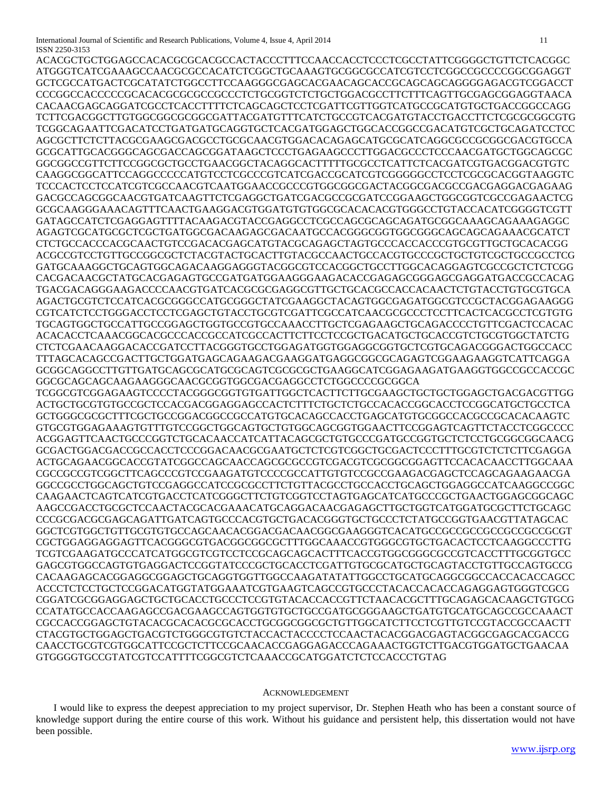International Journal of Scientific and Research Publications, Volume 4, Issue 4, April 2014 11 ISSN 2250-3153

ACACGCTGCTGGAGCCACACGCGCACGCCACTACCCTTTCCAACCACCTCCCTCGCCTATTCGGGGCTGTTCTCACGGC ATGGGTCATCGAAAGCCAACGCGCCACATCTCGGCTGCAAAGTGCGGCGCCATCGTCCTCGGCCGCCCCGGCGGAGGT GCTCGCCATGACTCGCATATCTGGCCTTCCAAGGGCGAGCACGAACAGCACCGCAGCAGCAGGGGAGACGTCGGACCT CCCGGCCACCCCCGCACACGCGCGCCGCCCTCTGCGGTCTCTGCTGGACGCCTTCTTTCAGTTGCGAGCGGAGGTAACA CACAACGAGCAGGATCGCCTCACCTTTTCTCAGCAGCTCCTCGATTCGTTGGTCATGCCGCATGTGCTGACCGGCCAGG TCTTCGACGGCTTGTGGCGGCGCGGCGATTACGATGTTTCATCTGCCGTCACGATGTACCTGACCTTCTCGCGCGGCGTG TCGGCAGAATTCGACATCCTGATGATGCAGGTGCTCACGATGGAGCTGGCACCGGCCGACATGTCGCTGCAGATCCTCC AGCGCTTCTCTTACGCGAAGCGACGCCTGCGCAACGTGGACACAGAGCATGCGCATCAGGCGCCGCGGCGACGTGCCA GCGCATTGCACGGGCAGCGACCAGCGGATAAGCTCCCTGAGAAGCCCTTGGACGCCCTCCCAACGATGCTGGCAGCGC GGCGGCCGTTCTTCCGGCGCTGCCTGAACGGCTACAGGCACTTTTTGCGCCTCATTCTCACGATCGTGACGGACGTGTC CAAGGCGGCATTCCAGGCCCCCATGTCCTCGCCCGTCATCGACCGCATCGTCGGGGGCCTCCTCGCGCACGGTAAGGTC TCCCACTCCTCCATCGTCGCCAACGTCAATGGAACCGCCCGTGGCGGCGACTACGGCGACGCCGACGAGGACGAGAAG GACGCCAGCGGCAACGTGATCAAGTTCTCGAGGCTGATCGACGCCGCGATCCGGAAGCTGGCGGTCGCCGAGAACTCG GCGCAAGGGAAACAGTTTCAACTGAAGGACGTGGATGTGTGGCGCACACACGTGGGCCTGTACCACATCGGGGTCGTT GATAGCCATCTCGAGGAGTTTTACAAGACGTACCGAGGCCTCGCCAGCGCAGCAGATGCGGCAAAGCAGAAAGAGGC AGAGTCGCATGCGCTCGCTGATGGCGACAAGAGCGACAATGCCACGGGCGGTGGCGGGCAGCAGCAGAAACGCATCT CTCTGCCACCCACGCAACTGTCCGACACGAGCATGTACGCAGAGCTAGTGCCCACCACCCGTGCGTTGCTGCACACGG ACGCCGTCCTGTTGCCGGCGCTCTACGTACTGCACTTGTACGCCAACTGCCACGTGCCCGCTGCTGTCGCTGCCGCCTCG GATGCAAAGGCTGCAGTGGCAGACAAGGAGGGTACGGCGTCCACGGCTGCCTTGGCACAGGAGTCGCCGCTCTCTCGG CACGACAACGCTATGCACGAGAGTGCCGATGATGGAAGGGAAGACACCGAGAGCGGGAGCGAGGATGACCGCCACAG TGACGACAGGGAAGACCCCAACGTGATCACGCGCGAGGCGTTGCTGCACGCCACCACAACTCTGTACCTGTGCGTGCA AGACTGCGTCTCCATCACGCGGGCCATGCGGGCTATCGAAGGCTACAGTGGCGAGATGGCGTCCGCTACGGAGAAGGG CGTCATCTCCTGGGACCTCCTCGAGCTGTACCTGCGTCGATTCGCCATCAACGCGCCCTCCTTCACTCACGCCTCGTGTG TGCAGTGGCTGCCATTGCCGGAGCTGGTGCCGTGCCAAACCTTGCTCGAGAAGCTGCAGACCCCTGTTCGACTCCACAC ACACACCTCAAACGGCACGCCCACCGCCATCGCCACTTCTTCCTCCGCTGACATGCTGCACCGTCTGCGTGGCTATCTG CTCTCGAACAAGGACACCGATCCTTACGGGTGCCTGGAGATGGTGGAGGCGGTGCTCGTGCAGACGGGACTGGCCACC TTTAGCACAGCCGACTTGCTGGATGAGCAGAAGACGAAGGATGAGGCGGCGCAGAGTCGGAAGAAGGTCATTCAGGA GCGGCAGGCCTTGTTGATGCAGCGCATGCGCAGTCGCGCGCTGAAGGCATCGGAGAAGATGAAGGTGGCCGCCACCGC GGCGCAGCAGCAAGAAGGGCAACGCGGTGGCGACGAGGCCTCTGGCCCCGCGGCA TCGGCGTCGGAGAAGTCCCCTACGGGCGGTGTGATTGGCTCACTTCTTGCGAAGCTGCTGCTGGAGCTGACGACGTTGG ACTGCTGCGTGTGCCGCTCCACGACGGAGGAGCCACTCTTTCTGCTCTGCCACACCGGCACCTCCGGCATGCTGCCTCA GCTGGGCGCGCTTTCGCTGCCGGACGGCCGCCATGTGCACAGCCACCTGAGCATGTGCGGCCACGCCGCACACAAGTC GTGCGTGGAGAAAGTGTTTGTCCGGCTGGCAGTGCTGTGGCAGCGGTGGAACTTCCGGAGTCAGTTCTACCTCGGCCCC ACGGAGTTCAACTGCCCGGTCTGCACAACCATCATTACAGCGCTGTGCCCGATGCCGGTGCTCTCCTGCGGCGGCAACG GCGACTGGACGACCGCCACCTCCCGGACAACGCGAATGCTCTCGTCGGCTGCGACTCCCTTTGCGTCTCTCTTCGAGGA ACTGCAGAACGGCACCGTATCGGCCAGCAACCAGCGCGCCGTCGACGTCGCGGCGGAGTTCCACACAACCTTGGCAAA CGCCGCCGTCGGCTTCAGCCCGTCCGAAGATGTCCCCGCCATTGTGTCCGCCGAAGACGAGCTCCAGCAGAAGAACGA GGCCGCCTGGCAGCTGTCCGAGGCCATCCGCGCCTTCTGTTACGCCTGCCACCTGCAGCTGGAGGCCATCAAGGCCGGC CAAGAACTCAGTCATCGTGACCTCATCGGGCTTCTGTCGGTCCTAGTGAGCATCATGCCCGCTGAACTGGAGCGGCAGC AAGCCGACCTGCGCTCCAACTACGCACGAAACATGCAGGACAACGAGAGCTTGCTGGTCATGGATGCGCTTCTGCAGC CCCGCGACGCGAGCAGATTGATCAGTGCCCACGTGCTGACACGGGTGCTGCCCTCTATGCCGGTGAACGTTATAGCAC GGCTCGTGGCTGTTGCGTGTGCCAGCAACACGGACGACAACGGCGAAGGGTCACATGCCGCCGCCGCCGCCGCCGCGT CGCTGGAGGAGGAGTTCACGGGCGTGACGGCGGCGCTTTGGCAAACCGTGGGCGTGCTGACACTCCTCAAGGCCCTTG TCGTCGAAGATGCCCATCATGGCGTCGTCCTCCGCAGCAGCACTTTCACCGTGGCGGGCGCCGTCACCTTTGCGGTGCC GAGCGTGGCCAGTGTGAGGACTCCGGTATCCCGCTGCACCTCGATTGTGCGCATGCTGCAGTACCTGTTGCCAGTGCCG CACAAGAGCACGGAGGCGGAGCTGCAGGTGGTTGGCCAAGATATATTGGCCTGCATGCAGGCGGCCACCACACCAGCC ACCCTCTCCTGCTCCGGACATGGTATGGAAATCGTGAAGTCAGCCGTGCCCTACACCACACCAGAGGAGTGGGTCGCG CGGATCGCGGAGGAGCTGCTGCACCTGCCCTCCGTGTACACCACCGTTCTAACACGCTTTGCAGAGCACAAGCTGTGCG CCATATGCCACCAAGAGCCGACGAAGCCAGTGGTGTGCTGCCGATGCGGGAAGCTGATGTGCATGCAGCCGCCAAACT CGCCACCGGAGCTGTACACGCACACGCGCACCTGCGGCGGCGCTGTTGGCATCTTCCTCGTTGTCCGTACCGCCAACTT CTACGTGCTGGAGCTGACGTCTGGGCGTGTCTACCACTACCCCTCCAACTACACGGACGAGTACGGCGAGCACGACCG CAACCTGCGTCGTGGCATTCCGCTCTTCCGCAACACCGAGGAGACCCAGAAACTGGTCTTGACGTGGATGCTGAACAA GTGGGGTGCCGTATCGTCCATTTTCGGCGTCTCAAACCGCATGGATCTCTCCACCCTGTAG

#### ACKNOWLEDGEMENT

 I would like to express the deepest appreciation to my project supervisor, Dr. Stephen Heath who has been a constant source of knowledge support during the entire course of this work. Without his guidance and persistent help, this dissertation would not have been possible.